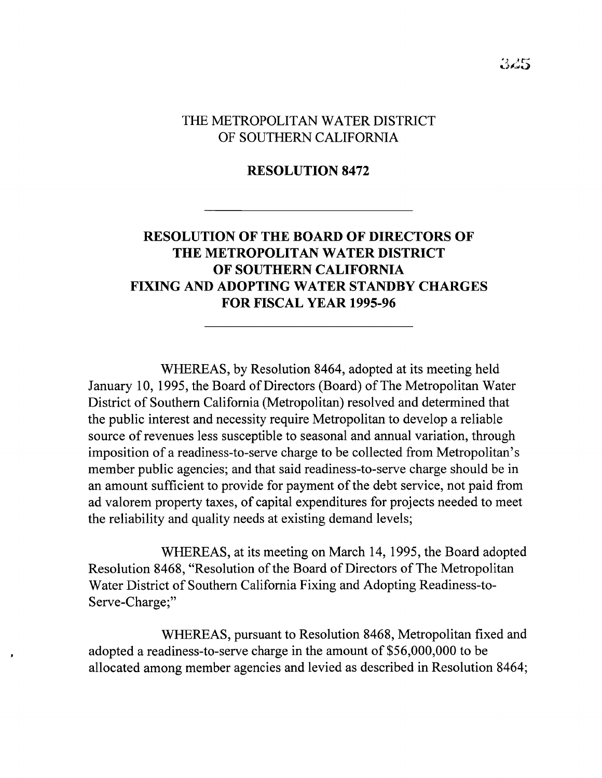## THE METROPOLITAN WATER DISTRICT OF SOUTHERN CALIFORNIA

## **RESOLUTION 8472**

## **RESOLUTION OF THE BOARD OF DIRECTORS OF THE METROPOLITAN WATER DISTRICT OF SOUTHERN CALIFORNIA FIXING AND ADOPTING WATER STANDBY CHARGES FOR FISCAL YEAR 1995-96**

WHEREAS, by Resolution 8464, adopted at its meeting held January 10, 1995, the Board of Directors (Board) of The Metropolitan Water District of Southern California (Metropolitan) resolved and determined that the public interest and necessity require Metropolitan to develop a reliable source of revenues less susceptible to seasonal and annual variation, through imposition of a readiness-to-serve charge to be collected from Metropolitan's member public agencies; and that said readiness-to-serve charge should be in an amount sufficient to provide for payment of the debt service, not paid from ad valorem property taxes, of capital expenditures for projects needed to meet the reliability and quality needs at existing demand levels;

WHEREAS, at its meeting on March 14, 1995, the Board adopted Resolution 8468, "Resolution of the Board of Directors of The Metropolitan Water District of Southern California Fixing and Adopting Readiness-to-Serve-Charge;"

WHEREAS, pursuant to Resolution 8468, Metropolitan fixed and adopted a readiness-to-serve charge in the amount of \$56,000,000 to be allocated among member agencies and levied as described in Resolution 8464;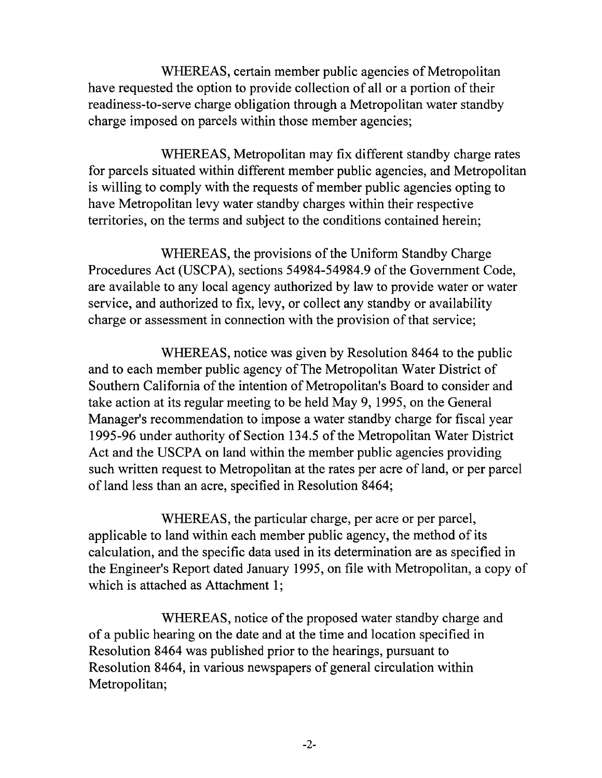WHEREAS, certain member public agencies of Metropolitan have requested the option to provide collection of all or a portion of their readiness-to-serve charge obligation through a Metropolitan water standby charge imposed on parcels within those member agencies;

WHEREAS, Metropolitan may fix different standby charge rates for parcels situated within different member public agencies, and Metropolitan is willing to comply with the requests of member public agencies opting to have Metropolitan levy water standby charges within their respective territories, on the terms and subject to the conditions contained herein;

WHEREAS, the provisions of the Uniform Standby Charge Procedures Act (USCPA), sections 54984-54984.9 of the Government Code, are available to any local agency authorized by law to provide water or water service, and authorized to fix, levy, or collect any standby or availability charge or assessment in connection with the provision of that service;

WHEREAS, notice was given by Resolution 8464 to the public and to each member public agency of The Metropolitan Water District of Southern California of the intention of Metropolitan's Board to consider and take action at its regular meeting to be held May 9, 1995, on the General Manager's recommendation to impose a water standby charge for fiscal year 1995-96 under authority of Section 134.5 of the Metropolitan Water District Act and the USCPA on land within the member public agencies providing such written request to Metropolitan at the rates per acre of land, or per parcel of land less than an acre, specified in Resolution 8464;

WHEREAS, the particular charge, per acre or per parcel, applicable to land within each member public agency, the method of its calculation, and the specific data used in its determination are as specified in the Engineer's Report dated January 1995, on file with Metropolitan, a copy of which is attached as Attachment 1;

WHEREAS, notice of the proposed water standby charge and of a public hearing on the date and at the time and location specified in Resolution 8464 was published prior to the hearings, pursuant to Resolution 8464, in various newspapers of general circulation within Metropolitan;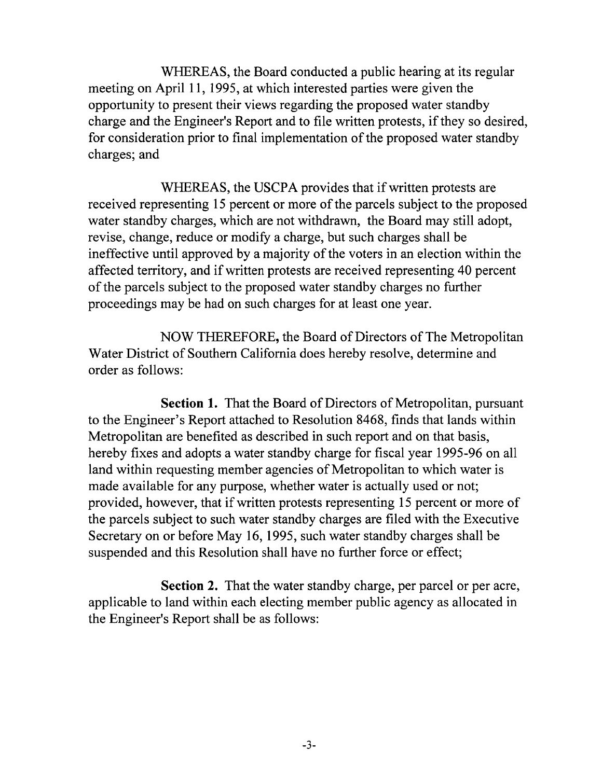WHEREAS, the Board conducted a public hearing at its regular meeting on April 11, 1995, at which interested parties were given the opportunity to present their views regarding the proposed water standby charge and the Engineer's Report and to file written protests, if they so desired, for consideration prior to final implementation of the proposed water standby charges; and

WHEREAS, the USCPA provides that if written protests are received representing 15 percent or more of the parcels subject to the proposed water standby charges, which are not withdrawn, the Board may still adopt, revise, change, reduce or modify a charge, but such charges shall be ineffective until approved by a majority of the voters in an election within the affected territory, and ifwritten protests are received representing 40 percent of the parcels subject to the proposed water standby charges no further proceedings may be had on such charges for at least one year.

NOW THEREFORE, the Board of Directors of The Metropolitan Water District of Southern California does hereby resolve, determine and order as follows:

**Section 1.** That the Board of Directors of Metropolitan, pursuant to the Engineer's Report attached to Resolution 8468, finds that lands within Metropolitan are benefited as described in such report and on that basis, hereby fixes and adopts a water standby charge for fiscal year 1995-96 on all land within requesting member agencies of Metropolitan to which water is made available for any purpose, whether water is actually used or not; provided, however, that ifwritten protests representing 15 percent or more of the parcels subject to such water standby charges are filed with the Executive Secretary on or before May 16, 1995, such water standby charges shall be suspended and this Resolution shall have no further force or effect;

**Section 2.** That the water standby charge, per parcel or per acre, applicable to land within each electing member public agency as allocated in the Engineer's Report shall be as follows: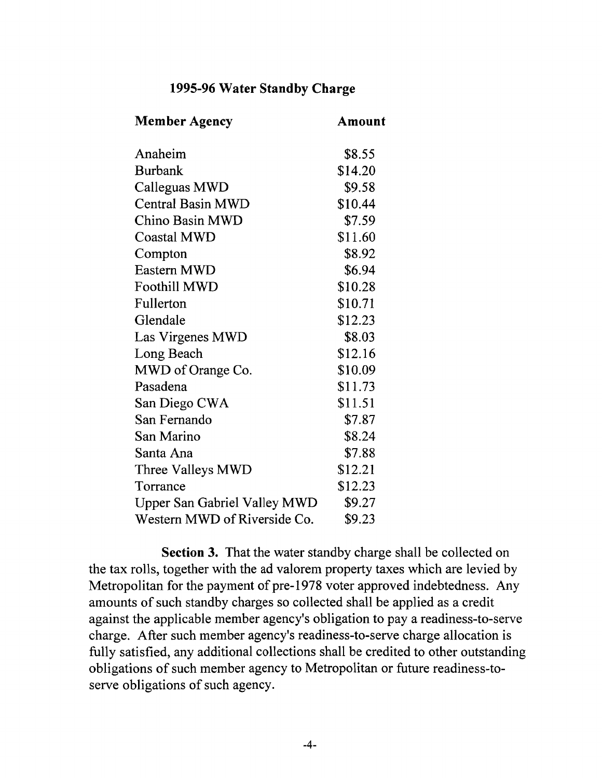## **1995-96 Water Standby Charge**

| <b>Member Agency</b>                | Amount  |
|-------------------------------------|---------|
| Anaheim                             | \$8.55  |
| <b>Burbank</b>                      | \$14.20 |
| Calleguas MWD                       | \$9.58  |
| <b>Central Basin MWD</b>            | \$10.44 |
| Chino Basin MWD                     | \$7.59  |
| <b>Coastal MWD</b>                  | \$11.60 |
| Compton                             | \$8.92  |
| Eastern MWD                         | \$6.94  |
| <b>Foothill MWD</b>                 | \$10.28 |
| Fullerton                           | \$10.71 |
| Glendale                            | \$12.23 |
| Las Virgenes MWD                    | \$8.03  |
| Long Beach                          | \$12.16 |
| MWD of Orange Co.                   | \$10.09 |
| Pasadena                            | \$11.73 |
| San Diego CWA                       | \$11.51 |
| San Fernando                        | \$7.87  |
| San Marino                          | \$8.24  |
| Santa Ana                           | \$7.88  |
| Three Valleys MWD                   | \$12.21 |
| Torrance                            | \$12.23 |
| <b>Upper San Gabriel Valley MWD</b> | \$9.27  |
| Western MWD of Riverside Co.        | \$9.23  |

**Section 3.** That the water standby charge shall be collected on the tax rolls, together with the ad valorem property taxes which are levied by Metropolitan for the payment of pre-1978 voter approved indebtedness. Any amounts of such standby charges so collected shall be applied as a credit against the applicable member agency's obligation to pay a readiness-to-serve charge. After such member agency's readiness-to-serve charge allocation is fully satisfied, any additional collections shall be credited to other outstanding obligations of such member agency to Metropolitan or future readiness-toserve obligations of such agency.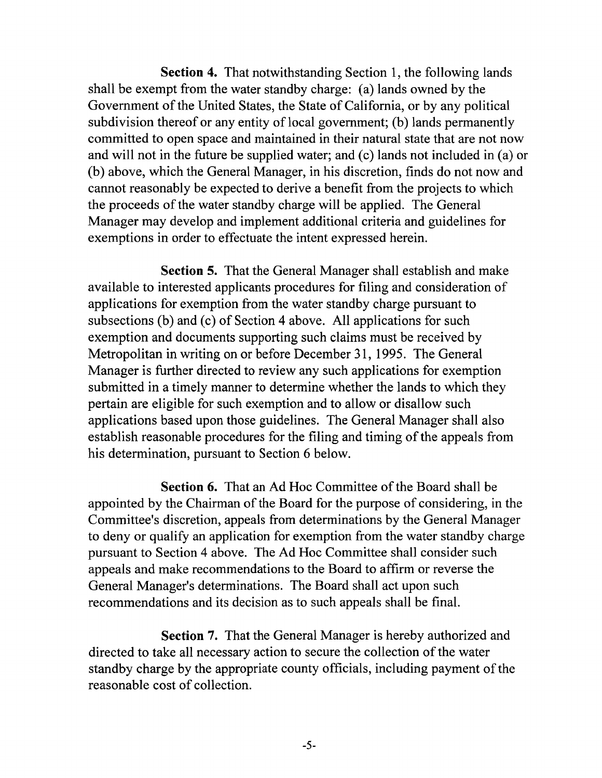Section 4. That notwithstanding Section 1, the following lands shall be exempt from the water standby charge: (a) lands owned by the Government of the United States, the State of California, or by any political subdivision thereof or any entity of local government; (b) lands permanently committed to open space and maintained in their natural state that are not now and will not in the future be supplied water; and (c) lands not included in (a) or (b) above, which the General Manager, in his discretion, finds do not now and cannot reasonably be expected to derive a benefit from the projects to which the proceeds of the water standby charge will be applied. The General Manager may develop and implement additional criteria and guidelines for exemptions in order to effectuate the intent expressed herein.

Section 5. That the General Manager shall establish and make available to interested applicants procedures for filing and consideration of applications for exemption from the water standby charge pursuant to subsections (b) and (c) of Section 4 above. All applications for such exemption and documents supporting such claims must be received by Metropolitan in writing on or before December 31,1995. The General Manager is further directed to review any such applications for exemption submitted in a timely manner to determine whether the lands to which they pertain are eligible for such exemption and to allow or disallow such applications based upon those guidelines. The General Manager shall also establish reasonable procedures for the filing and timing of the appeals from his determination, pursuant to Section 6 below.

Section 6. That an Ad Hoc Committee of the Board shall be appointed by the Chairman of the Board for the purpose of considering, in the Committee's discretion, appeals from determinations by the General Manager to deny or qualify an application for exemption from the water standby charge pursuant to Section 4 above. The Ad Hoc Committee shall consider such appeals and make recommendations to the Board to affirm or reverse the General Manager's determinations. The Board shall act upon such recommendations and its decision as to such appeals shall be final.

Section 7. That the General Manager is hereby authorized and directed to take all necessary action to secure the collection of the water standby charge by the appropriate county officials, including payment of the reasonable cost of collection.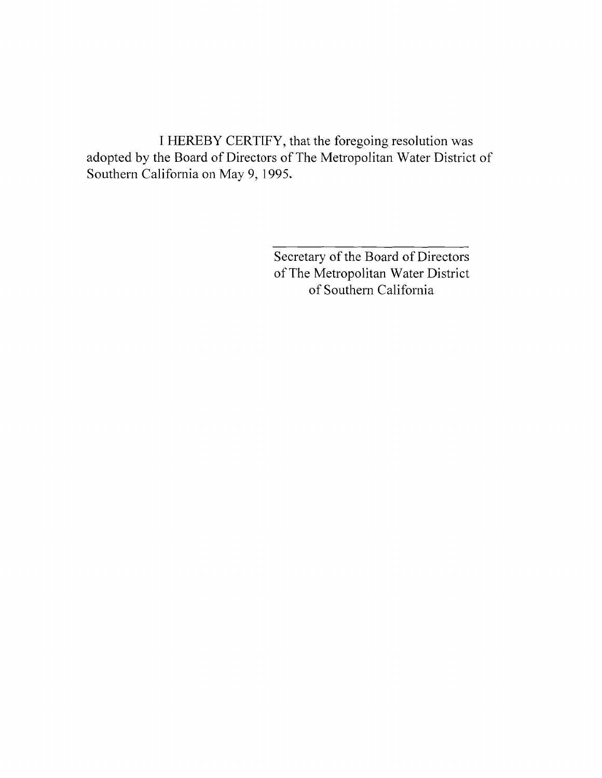I HEREBY CERTIFY, that the foregoing resolution was adopted by the Board of Directors of The Metropolitan Water District of Southern California on May 9, 1995.

> Secretary of the Board of Directors of The Metropolitan Water District of Southern California